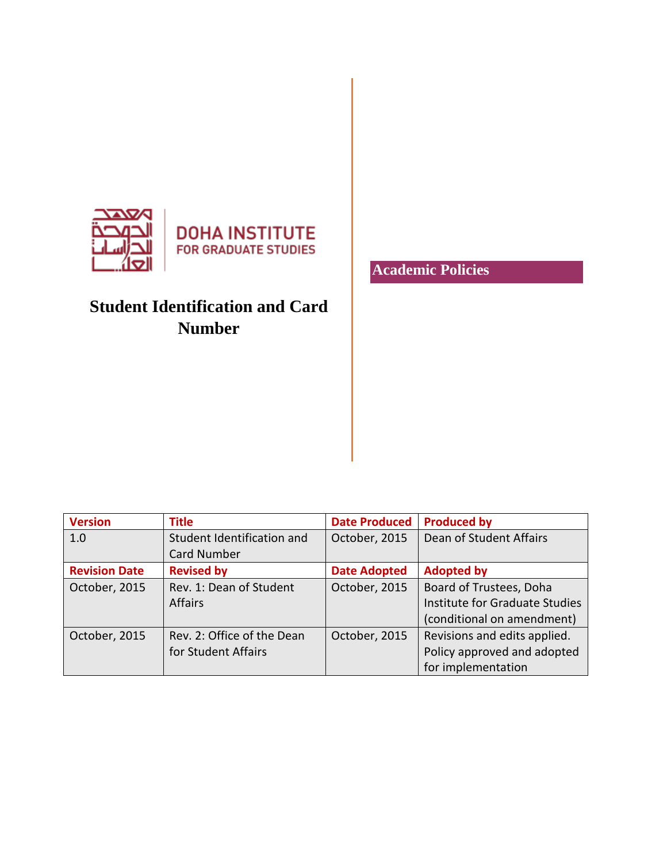

**DOHA INSTITUTE FOR GRADUATE STUDIES** 

# **Student Identification and Card Number**

**Version Title Date Produced Produced by** 1.0 Student Identification and Card Number October, 2015 | Dean of Student Affairs **Revision Date Revised by Date Adopted Adopted by** October, 2015 | Rev. 1: Dean of Student Affairs October, 2015 | Board of Trustees, Doha Institute for Graduate Studies (conditional on amendment) October, 2015 | Rev. 2: Office of the Dean for Student Affairs October, 2015  $\vert$  Revisions and edits applied. Policy approved and adopted for implementation

### **Academic Policies**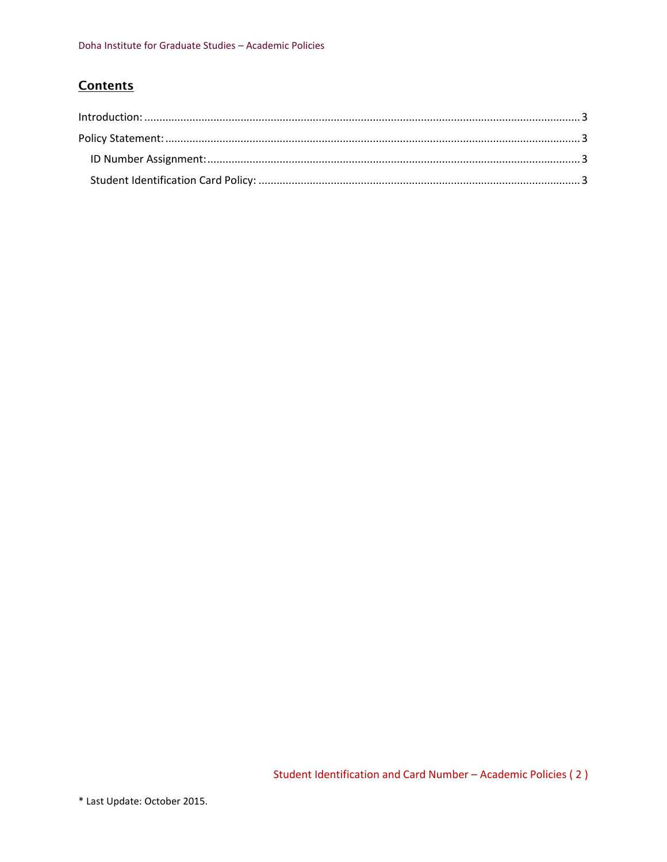## **Contents**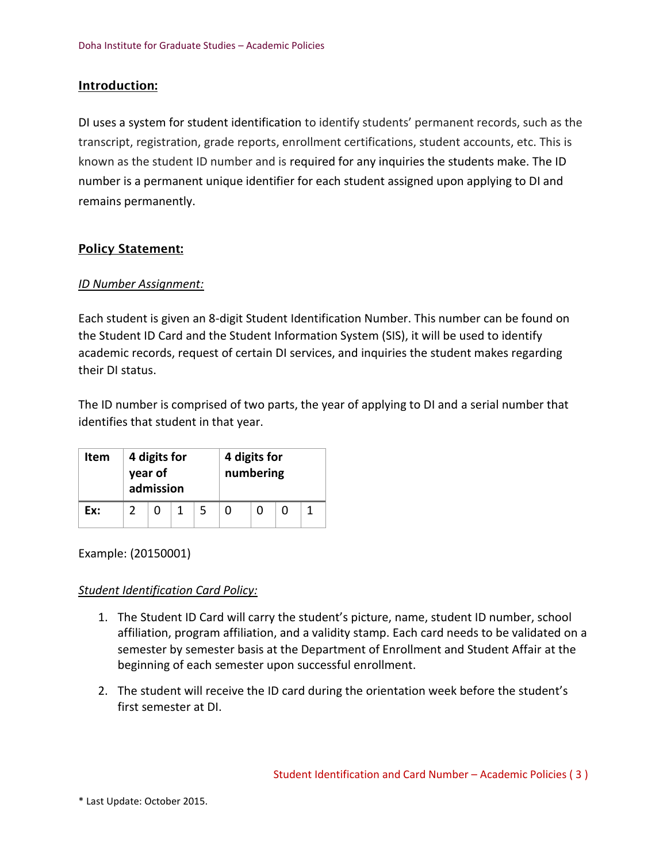#### <span id="page-2-0"></span>Introduction:

DI uses a system for student identification to identify students' permanent records, such as the transcript, registration, grade reports, enrollment certifications, student accounts, etc. This is known as the student ID number and is required for any inquiries the students make. The ID number is a permanent unique identifier for each student assigned upon applying to DI and remains permanently.

#### <span id="page-2-1"></span>Policy Statement:

#### <span id="page-2-2"></span>*ID Number Assignment:*

Each student is given an 8-digit Student Identification Number. This number can be found on the Student ID Card and the Student Information System (SIS), it will be used to identify academic records, request of certain DI services, and inquiries the student makes regarding their DI status.

The ID number is comprised of two parts, the year of applying to DI and a serial number that identifies that student in that year.

| Item | 4 digits for<br>year of<br>admission |  |  |   | 4 digits for<br>numbering |  |  |  |
|------|--------------------------------------|--|--|---|---------------------------|--|--|--|
| Ex:  |                                      |  |  | 5 |                           |  |  |  |

Example: (20150001)

#### <span id="page-2-3"></span>*Student Identification Card Policy:*

- 1. The Student ID Card will carry the student's picture, name, student ID number, school affiliation, program affiliation, and a validity stamp. Each card needs to be validated on a semester by semester basis at the Department of Enrollment and Student Affair at the beginning of each semester upon successful enrollment.
- 2. The student will receive the ID card during the orientation week before the student's first semester at DI.